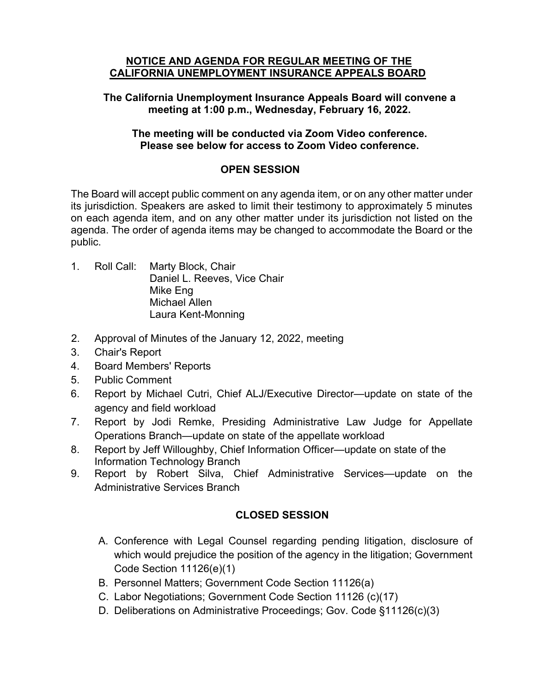#### **NOTICE AND AGENDA FOR REGULAR MEETING OF THE CALIFORNIA UNEMPLOYMENT INSURANCE APPEALS BOARD**

## **The California Unemployment Insurance Appeals Board will convene a meeting at 1:00 p.m., Wednesday, February 16, 2022.**

### **The meeting will be conducted via Zoom Video conference. Please see below for access to Zoom Video conference.**

# **OPEN SESSION**

The Board will accept public comment on any agenda item, or on any other matter under its jurisdiction. Speakers are asked to limit their testimony to approximately 5 minutes on each agenda item, and on any other matter under its jurisdiction not listed on the agenda. The order of agenda items may be changed to accommodate the Board or the public.

- 1. Roll Call: Marty Block, Chair Daniel L. Reeves, Vice Chair Mike Eng Michael Allen Laura Kent-Monning
- 2. Approval of Minutes of the January 12, 2022, meeting
- 3. Chair's Report
- 4. Board Members' Reports
- 5. Public Comment
- 6. Report by Michael Cutri, Chief ALJ/Executive Director—update on state of the agency and field workload
- 7. Report by Jodi Remke, Presiding Administrative Law Judge for Appellate Operations Branch—update on state of the appellate workload
- 8. Report by Jeff Willoughby, Chief Information Officer—update on state of the Information Technology Branch
- 9. Report by Robert Silva, Chief Administrative Services—update on the Administrative Services Branch

# **CLOSED SESSION**

- A. Conference with Legal Counsel regarding pending litigation, disclosure of which would prejudice the position of the agency in the litigation; Government Code Section 11126(e)(1)
- B. Personnel Matters; Government Code Section 11126(a)
- C. Labor Negotiations; Government Code Section 11126 (c)(17)
- D. Deliberations on Administrative Proceedings; Gov. Code §11126(c)(3)